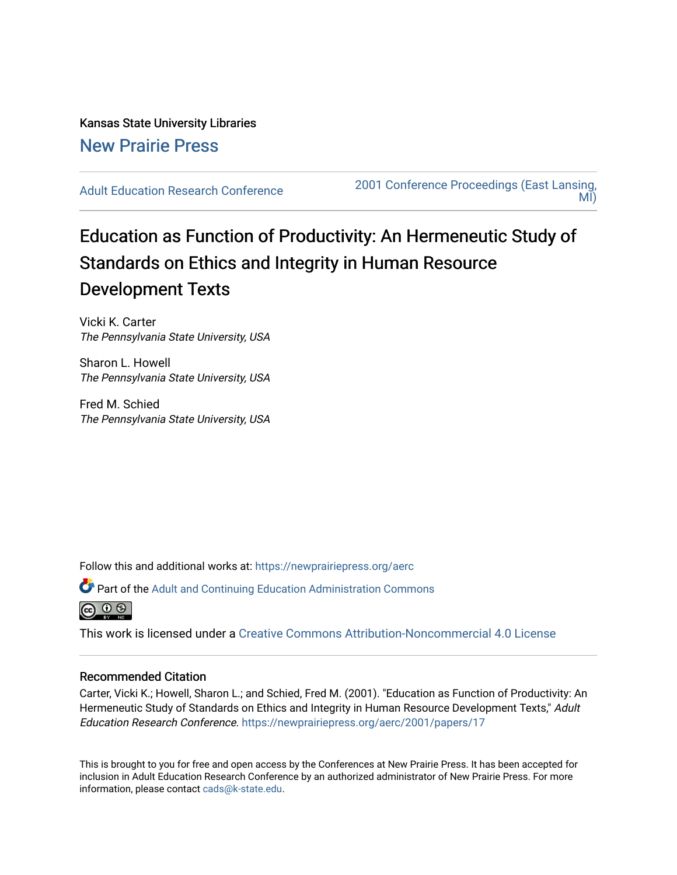Kansas State University Libraries [New Prairie Press](https://newprairiepress.org/) 

[Adult Education Research Conference](https://newprairiepress.org/aerc) [2001 Conference Proceedings \(East Lansing,](https://newprairiepress.org/aerc/2001)  [MI\)](https://newprairiepress.org/aerc/2001) 

# Education as Function of Productivity: An Hermeneutic Study of Standards on Ethics and Integrity in Human Resource Development Texts

Vicki K. Carter The Pennsylvania State University, USA

Sharon L. Howell The Pennsylvania State University, USA

Fred M. Schied The Pennsylvania State University, USA

Follow this and additional works at: [https://newprairiepress.org/aerc](https://newprairiepress.org/aerc?utm_source=newprairiepress.org%2Faerc%2F2001%2Fpapers%2F17&utm_medium=PDF&utm_campaign=PDFCoverPages)

Part of the [Adult and Continuing Education Administration Commons](http://network.bepress.com/hgg/discipline/789?utm_source=newprairiepress.org%2Faerc%2F2001%2Fpapers%2F17&utm_medium=PDF&utm_campaign=PDFCoverPages) |ൈ െ ⊚

This work is licensed under a [Creative Commons Attribution-Noncommercial 4.0 License](https://creativecommons.org/licenses/by-nc/4.0/)

### Recommended Citation

Carter, Vicki K.; Howell, Sharon L.; and Schied, Fred M. (2001). "Education as Function of Productivity: An Hermeneutic Study of Standards on Ethics and Integrity in Human Resource Development Texts," Adult Education Research Conference. <https://newprairiepress.org/aerc/2001/papers/17>

This is brought to you for free and open access by the Conferences at New Prairie Press. It has been accepted for inclusion in Adult Education Research Conference by an authorized administrator of New Prairie Press. For more information, please contact [cads@k-state.edu](mailto:cads@k-state.edu).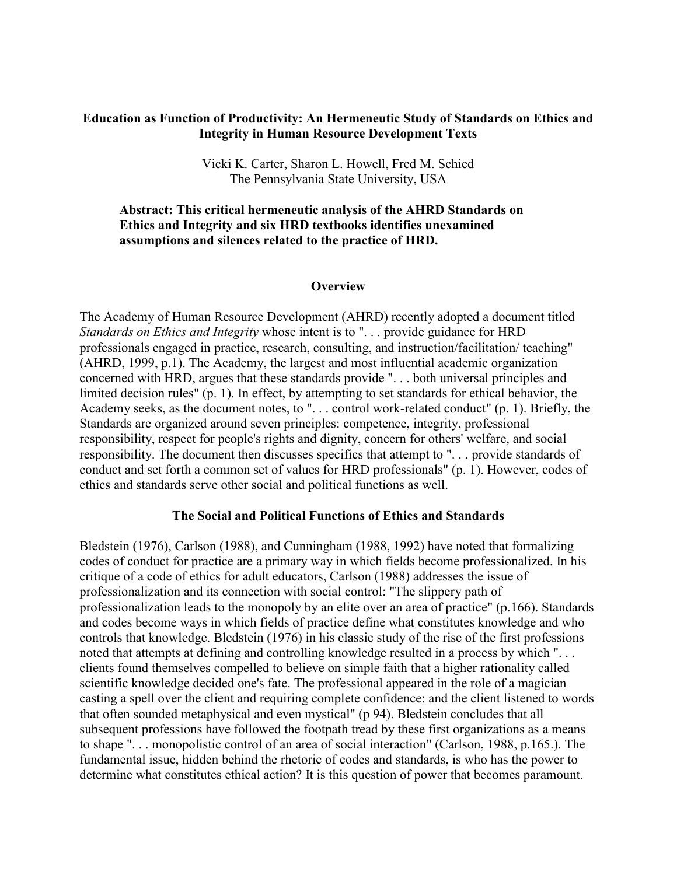# **Education as Function of Productivity: An Hermeneutic Study of Standards on Ethics and Integrity in Human Resource Development Texts**

Vicki K. Carter, Sharon L. Howell, Fred M. Schied The Pennsylvania State University, USA

# **Abstract: This critical hermeneutic analysis of the AHRD Standards on Ethics and Integrity and six HRD textbooks identifies unexamined assumptions and silences related to the practice of HRD.**

## **Overview**

The Academy of Human Resource Development (AHRD) recently adopted a document titled *Standards on Ethics and Integrity* whose intent is to ". . . provide guidance for HRD professionals engaged in practice, research, consulting, and instruction/facilitation/ teaching" (AHRD, 1999, p.1). The Academy, the largest and most influential academic organization concerned with HRD, argues that these standards provide ". . . both universal principles and limited decision rules" (p. 1). In effect, by attempting to set standards for ethical behavior, the Academy seeks, as the document notes, to ". . . control work-related conduct" (p. 1). Briefly, the Standards are organized around seven principles: competence, integrity, professional responsibility, respect for people's rights and dignity, concern for others' welfare, and social responsibility. The document then discusses specifics that attempt to ". . . provide standards of conduct and set forth a common set of values for HRD professionals" (p. 1). However, codes of ethics and standards serve other social and political functions as well.

### **The Social and Political Functions of Ethics and Standards**

Bledstein (1976), Carlson (1988), and Cunningham (1988, 1992) have noted that formalizing codes of conduct for practice are a primary way in which fields become professionalized. In his critique of a code of ethics for adult educators, Carlson (1988) addresses the issue of professionalization and its connection with social control: "The slippery path of professionalization leads to the monopoly by an elite over an area of practice" (p.166). Standards and codes become ways in which fields of practice define what constitutes knowledge and who controls that knowledge. Bledstein (1976) in his classic study of the rise of the first professions noted that attempts at defining and controlling knowledge resulted in a process by which ". . . clients found themselves compelled to believe on simple faith that a higher rationality called scientific knowledge decided one's fate. The professional appeared in the role of a magician casting a spell over the client and requiring complete confidence; and the client listened to words that often sounded metaphysical and even mystical" (p 94). Bledstein concludes that all subsequent professions have followed the footpath tread by these first organizations as a means to shape ". . . monopolistic control of an area of social interaction" (Carlson, 1988, p.165.). The fundamental issue, hidden behind the rhetoric of codes and standards, is who has the power to determine what constitutes ethical action? It is this question of power that becomes paramount.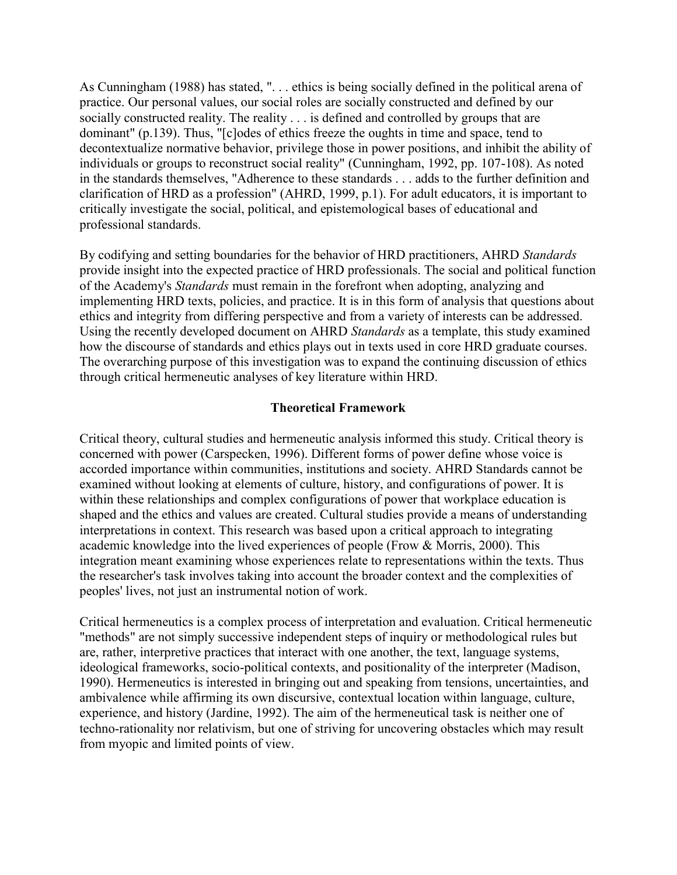As Cunningham (1988) has stated, ". . . ethics is being socially defined in the political arena of practice. Our personal values, our social roles are socially constructed and defined by our socially constructed reality. The reality . . . is defined and controlled by groups that are dominant" (p.139). Thus, "[c]odes of ethics freeze the oughts in time and space, tend to decontextualize normative behavior, privilege those in power positions, and inhibit the ability of individuals or groups to reconstruct social reality" (Cunningham, 1992, pp. 107-108). As noted in the standards themselves, "Adherence to these standards . . . adds to the further definition and clarification of HRD as a profession" (AHRD, 1999, p.1). For adult educators, it is important to critically investigate the social, political, and epistemological bases of educational and professional standards.

By codifying and setting boundaries for the behavior of HRD practitioners, AHRD *Standards* provide insight into the expected practice of HRD professionals. The social and political function of the Academy's *Standards* must remain in the forefront when adopting, analyzing and implementing HRD texts, policies, and practice. It is in this form of analysis that questions about ethics and integrity from differing perspective and from a variety of interests can be addressed. Using the recently developed document on AHRD *Standards* as a template, this study examined how the discourse of standards and ethics plays out in texts used in core HRD graduate courses. The overarching purpose of this investigation was to expand the continuing discussion of ethics through critical hermeneutic analyses of key literature within HRD.

# **Theoretical Framework**

Critical theory, cultural studies and hermeneutic analysis informed this study. Critical theory is concerned with power (Carspecken, 1996). Different forms of power define whose voice is accorded importance within communities, institutions and society. AHRD Standards cannot be examined without looking at elements of culture, history, and configurations of power. It is within these relationships and complex configurations of power that workplace education is shaped and the ethics and values are created. Cultural studies provide a means of understanding interpretations in context. This research was based upon a critical approach to integrating academic knowledge into the lived experiences of people (Frow & Morris, 2000). This integration meant examining whose experiences relate to representations within the texts. Thus the researcher's task involves taking into account the broader context and the complexities of peoples' lives, not just an instrumental notion of work.

Critical hermeneutics is a complex process of interpretation and evaluation. Critical hermeneutic "methods" are not simply successive independent steps of inquiry or methodological rules but are, rather, interpretive practices that interact with one another, the text, language systems, ideological frameworks, socio-political contexts, and positionality of the interpreter (Madison, 1990). Hermeneutics is interested in bringing out and speaking from tensions, uncertainties, and ambivalence while affirming its own discursive, contextual location within language, culture, experience, and history (Jardine, 1992). The aim of the hermeneutical task is neither one of techno-rationality nor relativism, but one of striving for uncovering obstacles which may result from myopic and limited points of view.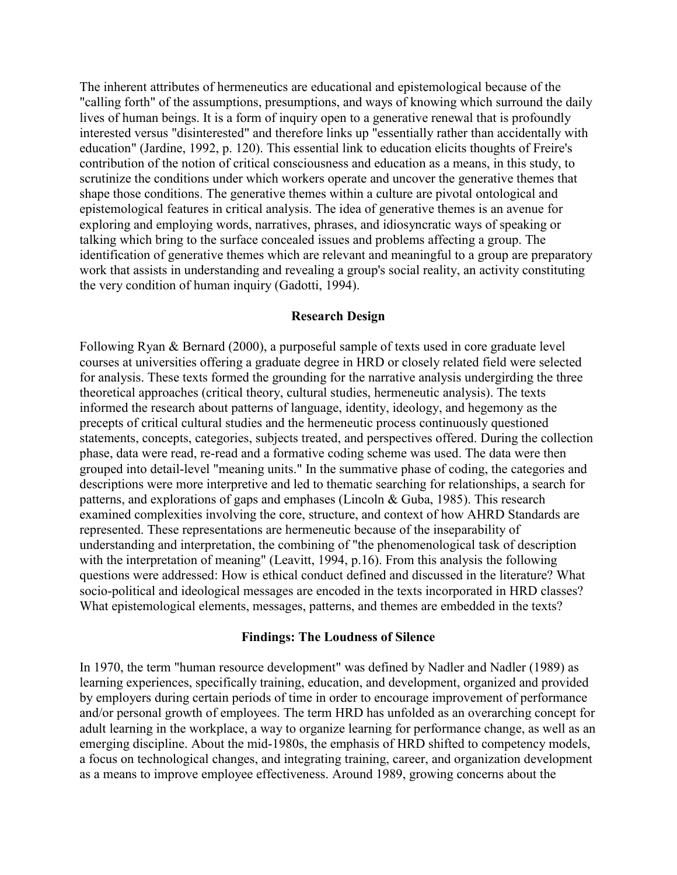The inherent attributes of hermeneutics are educational and epistemological because of the "calling forth" of the assumptions, presumptions, and ways of knowing which surround the daily lives of human beings. It is a form of inquiry open to a generative renewal that is profoundly interested versus "disinterested" and therefore links up "essentially rather than accidentally with education" (Jardine, 1992, p. 120). This essential link to education elicits thoughts of Freire's contribution of the notion of critical consciousness and education as a means, in this study, to scrutinize the conditions under which workers operate and uncover the generative themes that shape those conditions. The generative themes within a culture are pivotal ontological and epistemological features in critical analysis. The idea of generative themes is an avenue for exploring and employing words, narratives, phrases, and idiosyncratic ways of speaking or talking which bring to the surface concealed issues and problems affecting a group. The identification of generative themes which are relevant and meaningful to a group are preparatory work that assists in understanding and revealing a group's social reality, an activity constituting the very condition of human inquiry (Gadotti, 1994).

### **Research Design**

Following Ryan & Bernard (2000), a purposeful sample of texts used in core graduate level courses at universities offering a graduate degree in HRD or closely related field were selected for analysis. These texts formed the grounding for the narrative analysis undergirding the three theoretical approaches (critical theory, cultural studies, hermeneutic analysis). The texts informed the research about patterns of language, identity, ideology, and hegemony as the precepts of critical cultural studies and the hermeneutic process continuously questioned statements, concepts, categories, subjects treated, and perspectives offered. During the collection phase, data were read, re-read and a formative coding scheme was used. The data were then grouped into detail-level "meaning units." In the summative phase of coding, the categories and descriptions were more interpretive and led to thematic searching for relationships, a search for patterns, and explorations of gaps and emphases (Lincoln & Guba, 1985). This research examined complexities involving the core, structure, and context of how AHRD Standards are represented. These representations are hermeneutic because of the inseparability of understanding and interpretation, the combining of "the phenomenological task of description with the interpretation of meaning" (Leavitt, 1994, p.16). From this analysis the following questions were addressed: How is ethical conduct defined and discussed in the literature? What socio-political and ideological messages are encoded in the texts incorporated in HRD classes? What epistemological elements, messages, patterns, and themes are embedded in the texts?

### **Findings: The Loudness of Silence**

In 1970, the term "human resource development" was defined by Nadler and Nadler (1989) as learning experiences, specifically training, education, and development, organized and provided by employers during certain periods of time in order to encourage improvement of performance and/or personal growth of employees. The term HRD has unfolded as an overarching concept for adult learning in the workplace, a way to organize learning for performance change, as well as an emerging discipline. About the mid-1980s, the emphasis of HRD shifted to competency models, a focus on technological changes, and integrating training, career, and organization development as a means to improve employee effectiveness. Around 1989, growing concerns about the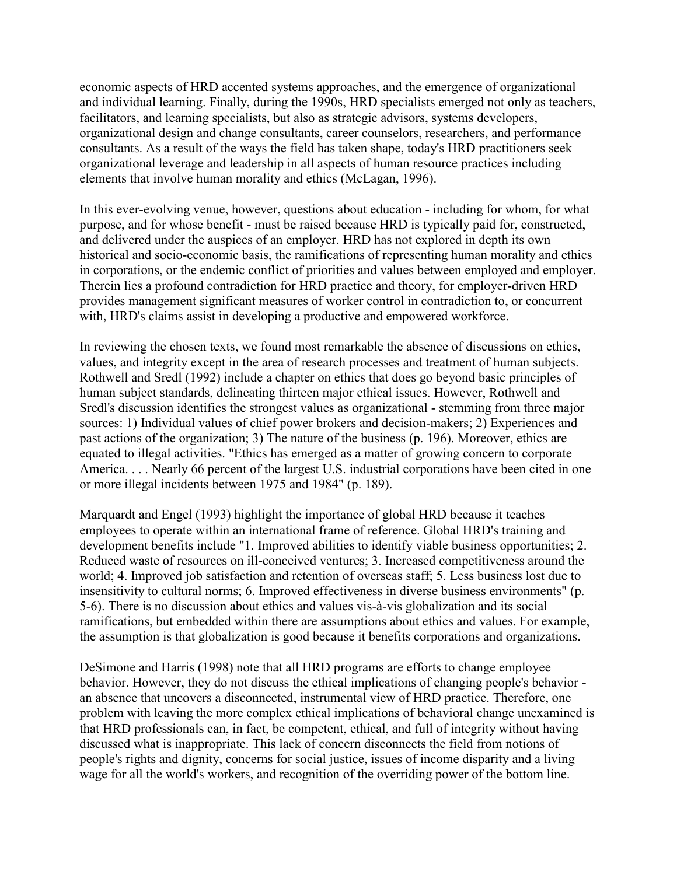economic aspects of HRD accented systems approaches, and the emergence of organizational and individual learning. Finally, during the 1990s, HRD specialists emerged not only as teachers, facilitators, and learning specialists, but also as strategic advisors, systems developers, organizational design and change consultants, career counselors, researchers, and performance consultants. As a result of the ways the field has taken shape, today's HRD practitioners seek organizational leverage and leadership in all aspects of human resource practices including elements that involve human morality and ethics (McLagan, 1996).

In this ever-evolving venue, however, questions about education - including for whom, for what purpose, and for whose benefit - must be raised because HRD is typically paid for, constructed, and delivered under the auspices of an employer. HRD has not explored in depth its own historical and socio-economic basis, the ramifications of representing human morality and ethics in corporations, or the endemic conflict of priorities and values between employed and employer. Therein lies a profound contradiction for HRD practice and theory, for employer-driven HRD provides management significant measures of worker control in contradiction to, or concurrent with, HRD's claims assist in developing a productive and empowered workforce.

In reviewing the chosen texts, we found most remarkable the absence of discussions on ethics, values, and integrity except in the area of research processes and treatment of human subjects. Rothwell and Sredl (1992) include a chapter on ethics that does go beyond basic principles of human subject standards, delineating thirteen major ethical issues. However, Rothwell and Sredl's discussion identifies the strongest values as organizational - stemming from three major sources: 1) Individual values of chief power brokers and decision-makers; 2) Experiences and past actions of the organization; 3) The nature of the business (p. 196). Moreover, ethics are equated to illegal activities. "Ethics has emerged as a matter of growing concern to corporate America. . . . Nearly 66 percent of the largest U.S. industrial corporations have been cited in one or more illegal incidents between 1975 and 1984" (p. 189).

Marquardt and Engel (1993) highlight the importance of global HRD because it teaches employees to operate within an international frame of reference. Global HRD's training and development benefits include "1. Improved abilities to identify viable business opportunities; 2. Reduced waste of resources on ill-conceived ventures; 3. Increased competitiveness around the world; 4. Improved job satisfaction and retention of overseas staff; 5. Less business lost due to insensitivity to cultural norms; 6. Improved effectiveness in diverse business environments" (p. 5-6). There is no discussion about ethics and values vis-à-vis globalization and its social ramifications, but embedded within there are assumptions about ethics and values. For example, the assumption is that globalization is good because it benefits corporations and organizations.

DeSimone and Harris (1998) note that all HRD programs are efforts to change employee behavior. However, they do not discuss the ethical implications of changing people's behavior an absence that uncovers a disconnected, instrumental view of HRD practice. Therefore, one problem with leaving the more complex ethical implications of behavioral change unexamined is that HRD professionals can, in fact, be competent, ethical, and full of integrity without having discussed what is inappropriate. This lack of concern disconnects the field from notions of people's rights and dignity, concerns for social justice, issues of income disparity and a living wage for all the world's workers, and recognition of the overriding power of the bottom line.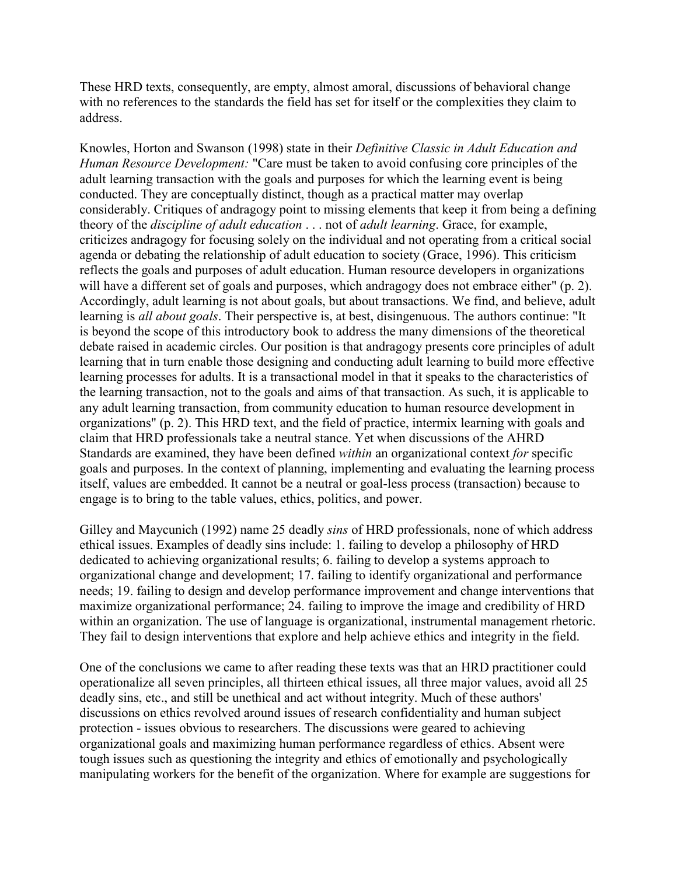These HRD texts, consequently, are empty, almost amoral, discussions of behavioral change with no references to the standards the field has set for itself or the complexities they claim to address.

Knowles, Horton and Swanson (1998) state in their *Definitive Classic in Adult Education and Human Resource Development:* "Care must be taken to avoid confusing core principles of the adult learning transaction with the goals and purposes for which the learning event is being conducted. They are conceptually distinct, though as a practical matter may overlap considerably. Critiques of andragogy point to missing elements that keep it from being a defining theory of the *discipline of adult education* . . . not of *adult learning*. Grace, for example, criticizes andragogy for focusing solely on the individual and not operating from a critical social agenda or debating the relationship of adult education to society (Grace, 1996). This criticism reflects the goals and purposes of adult education. Human resource developers in organizations will have a different set of goals and purposes, which andragogy does not embrace either" (p. 2). Accordingly, adult learning is not about goals, but about transactions. We find, and believe, adult learning is *all about goals*. Their perspective is, at best, disingenuous. The authors continue: "It is beyond the scope of this introductory book to address the many dimensions of the theoretical debate raised in academic circles. Our position is that andragogy presents core principles of adult learning that in turn enable those designing and conducting adult learning to build more effective learning processes for adults. It is a transactional model in that it speaks to the characteristics of the learning transaction, not to the goals and aims of that transaction. As such, it is applicable to any adult learning transaction, from community education to human resource development in organizations" (p. 2). This HRD text, and the field of practice, intermix learning with goals and claim that HRD professionals take a neutral stance. Yet when discussions of the AHRD Standards are examined, they have been defined *within* an organizational context *for* specific goals and purposes. In the context of planning, implementing and evaluating the learning process itself, values are embedded. It cannot be a neutral or goal-less process (transaction) because to engage is to bring to the table values, ethics, politics, and power.

Gilley and Maycunich (1992) name 25 deadly *sins* of HRD professionals, none of which address ethical issues. Examples of deadly sins include: 1. failing to develop a philosophy of HRD dedicated to achieving organizational results; 6. failing to develop a systems approach to organizational change and development; 17. failing to identify organizational and performance needs; 19. failing to design and develop performance improvement and change interventions that maximize organizational performance; 24. failing to improve the image and credibility of HRD within an organization. The use of language is organizational, instrumental management rhetoric. They fail to design interventions that explore and help achieve ethics and integrity in the field.

One of the conclusions we came to after reading these texts was that an HRD practitioner could operationalize all seven principles, all thirteen ethical issues, all three major values, avoid all 25 deadly sins, etc., and still be unethical and act without integrity. Much of these authors' discussions on ethics revolved around issues of research confidentiality and human subject protection - issues obvious to researchers. The discussions were geared to achieving organizational goals and maximizing human performance regardless of ethics. Absent were tough issues such as questioning the integrity and ethics of emotionally and psychologically manipulating workers for the benefit of the organization. Where for example are suggestions for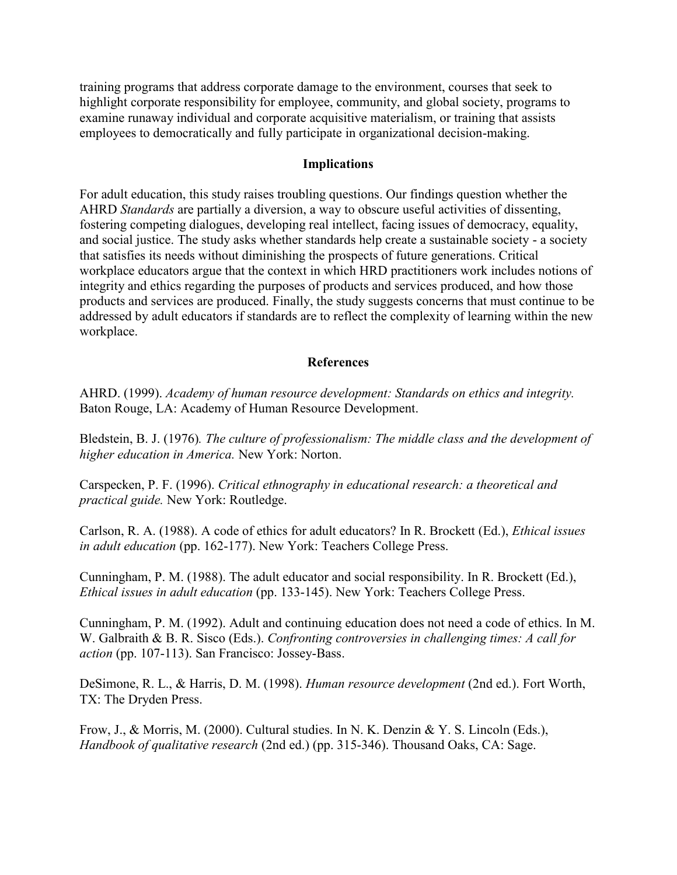training programs that address corporate damage to the environment, courses that seek to highlight corporate responsibility for employee, community, and global society, programs to examine runaway individual and corporate acquisitive materialism, or training that assists employees to democratically and fully participate in organizational decision-making.

## **Implications**

For adult education, this study raises troubling questions. Our findings question whether the AHRD *Standards* are partially a diversion, a way to obscure useful activities of dissenting, fostering competing dialogues, developing real intellect, facing issues of democracy, equality, and social justice. The study asks whether standards help create a sustainable society - a society that satisfies its needs without diminishing the prospects of future generations. Critical workplace educators argue that the context in which HRD practitioners work includes notions of integrity and ethics regarding the purposes of products and services produced, and how those products and services are produced. Finally, the study suggests concerns that must continue to be addressed by adult educators if standards are to reflect the complexity of learning within the new workplace.

## **References**

AHRD. (1999). *Academy of human resource development: Standards on ethics and integrity.* Baton Rouge, LA: Academy of Human Resource Development.

Bledstein, B. J. (1976)*. The culture of professionalism: The middle class and the development of higher education in America.* New York: Norton.

Carspecken, P. F. (1996). *Critical ethnography in educational research: a theoretical and practical guide.* New York: Routledge.

Carlson, R. A. (1988). A code of ethics for adult educators? In R. Brockett (Ed.), *Ethical issues in adult education* (pp. 162-177). New York: Teachers College Press.

Cunningham, P. M. (1988). The adult educator and social responsibility. In R. Brockett (Ed.), *Ethical issues in adult education* (pp. 133-145). New York: Teachers College Press.

Cunningham, P. M. (1992). Adult and continuing education does not need a code of ethics. In M. W. Galbraith & B. R. Sisco (Eds.). *Confronting controversies in challenging times: A call for action* (pp. 107-113). San Francisco: Jossey-Bass.

DeSimone, R. L., & Harris, D. M. (1998). *Human resource development* (2nd ed.). Fort Worth, TX: The Dryden Press.

Frow, J., & Morris, M. (2000). Cultural studies. In N. K. Denzin & Y. S. Lincoln (Eds.), *Handbook of qualitative research* (2nd ed.) (pp. 315-346). Thousand Oaks, CA: Sage.